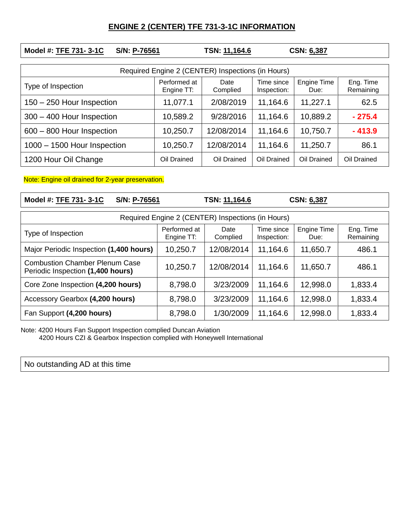## **ENGINE 2 (CENTER) TFE 731-3-1C INFORMATION**

| Model #: TFE 731-3-1C<br>S/N: P-76561             |                            | TSN: 11,164.6    | <b>CSN: 6,387</b>         |                     |                        |  |  |  |  |
|---------------------------------------------------|----------------------------|------------------|---------------------------|---------------------|------------------------|--|--|--|--|
| Required Engine 2 (CENTER) Inspections (in Hours) |                            |                  |                           |                     |                        |  |  |  |  |
| Type of Inspection                                | Performed at<br>Engine TT: | Date<br>Complied | Time since<br>Inspection: | Engine Time<br>Due: | Eng. Time<br>Remaining |  |  |  |  |
| 150 - 250 Hour Inspection                         | 11,077.1                   | 2/08/2019        | 11,164.6                  | 11,227.1            | 62.5                   |  |  |  |  |
| 300 - 400 Hour Inspection                         | 10,589.2                   | 9/28/2016        | 11,164.6                  | 10,889.2            | $-275.4$               |  |  |  |  |
| 600 - 800 Hour Inspection                         | 10,250.7                   | 12/08/2014       | 11,164.6                  | 10,750.7            | $-413.9$               |  |  |  |  |
| 1000 - 1500 Hour Inspection                       | 10,250.7                   | 12/08/2014       | 11,164.6                  | 11,250.7            | 86.1                   |  |  |  |  |
| 1200 Hour Oil Change                              | Oil Drained                | Oil Drained      | Oil Drained               | Oil Drained         | Oil Drained            |  |  |  |  |

Note: Engine oil drained for 2-year preservation.

| Model #: TFE 731-3-1C<br>S/N: P-76561                                      |                            | TSN: 11,164.6    |                           | <b>CSN: 6,387</b>   |                        |  |  |  |  |
|----------------------------------------------------------------------------|----------------------------|------------------|---------------------------|---------------------|------------------------|--|--|--|--|
| Required Engine 2 (CENTER) Inspections (in Hours)                          |                            |                  |                           |                     |                        |  |  |  |  |
| Type of Inspection                                                         | Performed at<br>Engine TT: | Date<br>Complied | Time since<br>Inspection: | Engine Time<br>Due: | Eng. Time<br>Remaining |  |  |  |  |
| Major Periodic Inspection (1,400 hours)                                    | 10,250.7                   | 12/08/2014       | 11,164.6                  | 11,650.7            | 486.1                  |  |  |  |  |
| <b>Combustion Chamber Plenum Case</b><br>Periodic Inspection (1,400 hours) | 10,250.7                   | 12/08/2014       | 11,164.6                  | 11,650.7            | 486.1                  |  |  |  |  |
| Core Zone Inspection (4,200 hours)                                         | 8,798.0                    | 3/23/2009        | 11,164.6                  | 12,998.0            | 1,833.4                |  |  |  |  |
| Accessory Gearbox (4,200 hours)                                            | 8,798.0                    | 3/23/2009        | 11,164.6                  | 12,998.0            | 1,833.4                |  |  |  |  |
| Fan Support (4,200 hours)                                                  | 8,798.0                    | 1/30/2009        | 11,164.6                  | 12,998.0            | 1,833.4                |  |  |  |  |

Note: 4200 Hours Fan Support Inspection complied Duncan Aviation

4200 Hours CZI & Gearbox Inspection complied with Honeywell International

No outstanding AD at this time